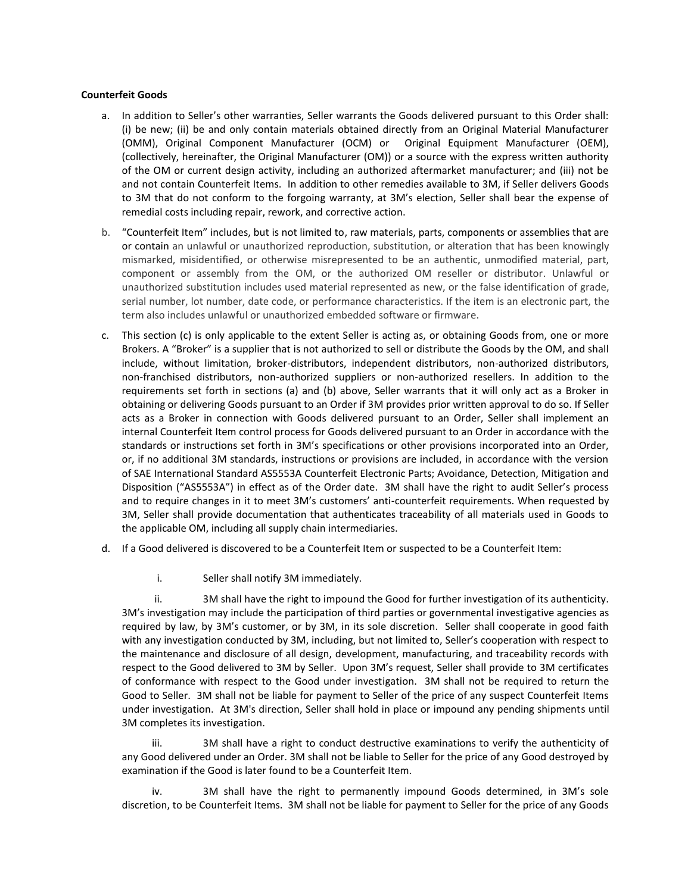## **Counterfeit Goods**

- a. In addition to Seller's other warranties, Seller warrants the Goods delivered pursuant to this Order shall: (i) be new; (ii) be and only contain materials obtained directly from an Original Material Manufacturer (OMM), Original Component Manufacturer (OCM) or Original Equipment Manufacturer (OEM), (collectively, hereinafter, the Original Manufacturer (OM)) or a source with the express written authority of the OM or current design activity, including an authorized aftermarket manufacturer; and (iii) not be and not contain Counterfeit Items. In addition to other remedies available to 3M, if Seller delivers Goods to 3M that do not conform to the forgoing warranty, at 3M's election, Seller shall bear the expense of remedial costs including repair, rework, and corrective action.
- b. "Counterfeit Item" includes, but is not limited to, raw materials, parts, components or assemblies that are or contain an unlawful or unauthorized reproduction, substitution, or alteration that has been knowingly mismarked, misidentified, or otherwise misrepresented to be an authentic, unmodified material, part, component or assembly from the OM, or the authorized OM reseller or distributor. Unlawful or unauthorized substitution includes used material represented as new, or the false identification of grade, serial number, lot number, date code, or performance characteristics. If the item is an electronic part, the term also includes unlawful or unauthorized embedded software or firmware.
- c. This section (c) is only applicable to the extent Seller is acting as, or obtaining Goods from, one or more Brokers. A "Broker" is a supplier that is not authorized to sell or distribute the Goods by the OM, and shall include, without limitation, broker-distributors, independent distributors, non-authorized distributors, non-franchised distributors, non-authorized suppliers or non-authorized resellers. In addition to the requirements set forth in sections (a) and (b) above, Seller warrants that it will only act as a Broker in obtaining or delivering Goods pursuant to an Order if 3M provides prior written approval to do so. If Seller acts as a Broker in connection with Goods delivered pursuant to an Order, Seller shall implement an internal Counterfeit Item control process for Goods delivered pursuant to an Order in accordance with the standards or instructions set forth in 3M's specifications or other provisions incorporated into an Order, or, if no additional 3M standards, instructions or provisions are included, in accordance with the version of SAE International Standard AS5553A Counterfeit Electronic Parts; Avoidance, Detection, Mitigation and Disposition ("AS5553A") in effect as of the Order date. 3M shall have the right to audit Seller's process and to require changes in it to meet 3M's customers' anti-counterfeit requirements. When requested by 3M, Seller shall provide documentation that authenticates traceability of all materials used in Goods to the applicable OM, including all supply chain intermediaries.
- d. If a Good delivered is discovered to be a Counterfeit Item or suspected to be a Counterfeit Item:
	- i. Seller shall notify 3M immediately.

ii. 3M shall have the right to impound the Good for further investigation of its authenticity. 3M's investigation may include the participation of third parties or governmental investigative agencies as required by law, by 3M's customer, or by 3M, in its sole discretion. Seller shall cooperate in good faith with any investigation conducted by 3M, including, but not limited to, Seller's cooperation with respect to the maintenance and disclosure of all design, development, manufacturing, and traceability records with respect to the Good delivered to 3M by Seller. Upon 3M's request, Seller shall provide to 3M certificates of conformance with respect to the Good under investigation. 3M shall not be required to return the Good to Seller. 3M shall not be liable for payment to Seller of the price of any suspect Counterfeit Items under investigation. At 3M's direction, Seller shall hold in place or impound any pending shipments until 3M completes its investigation.

iii. 3M shall have a right to conduct destructive examinations to verify the authenticity of any Good delivered under an Order. 3M shall not be liable to Seller for the price of any Good destroyed by examination if the Good is later found to be a Counterfeit Item.

iv. 3M shall have the right to permanently impound Goods determined, in 3M's sole discretion, to be Counterfeit Items. 3M shall not be liable for payment to Seller for the price of any Goods